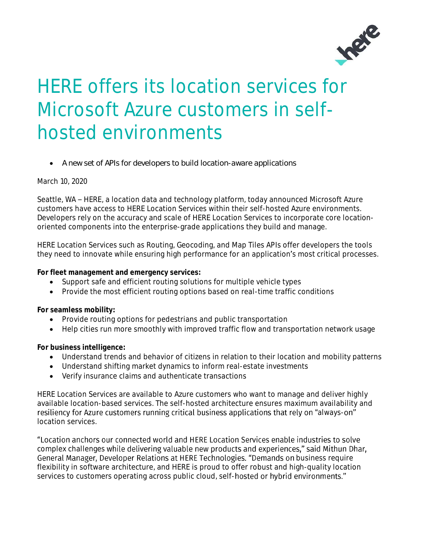

## HERE offers its location services for Microsoft Azure customers in selfhosted environments

• *A new set of APIs for developers to build location-aware applications*

## March 10, 2020

Seattle, WA – HERE, a location data and technology platform, today announced Microsoft Azure customers have access to HERE Location Services within their self-hosted Azure environments. Developers rely on the accuracy and scale of HERE Location Services to incorporate core locationoriented components into the enterprise-grade applications they build and manage.

HERE Location Services such as Routing, Geocoding, and Map Tiles APIs offer developers the tools they need to innovate while ensuring high performance for an application's most critical processes.

**For fleet management and emergency services:** 

- Support safe and efficient routing solutions for multiple vehicle types
- Provide the most efficient routing options based on real-time traffic conditions

**For seamless mobility:**

- Provide routing options for pedestrians and public transportation
- Help cities run more smoothly with improved traffic flow and transportation network usage

**For business intelligence:**

- Understand trends and behavior of citizens in relation to their location and mobility patterns
- Understand shifting market dynamics to inform real-estate investments
- Verify insurance claims and authenticate transactions

HERE Location Services are available to Azure customers who want to manage and deliver highly available location-based services. The self-hosted architecture ensures maximum availability and resiliency for Azure customers running critical business applications that rely on "always-on" location services.

"Location anchors our connected world and HERE Location Services enable industries to solve complex challenges while delivering valuable new products and experiences," said Mithun Dhar, General Manager, Developer Relations at HERE Technologies. "Demands on business require flexibility in software architecture, and HERE is proud to offer robust and high-quality location services to customers operating across public cloud, self-hosted or hybrid environments."